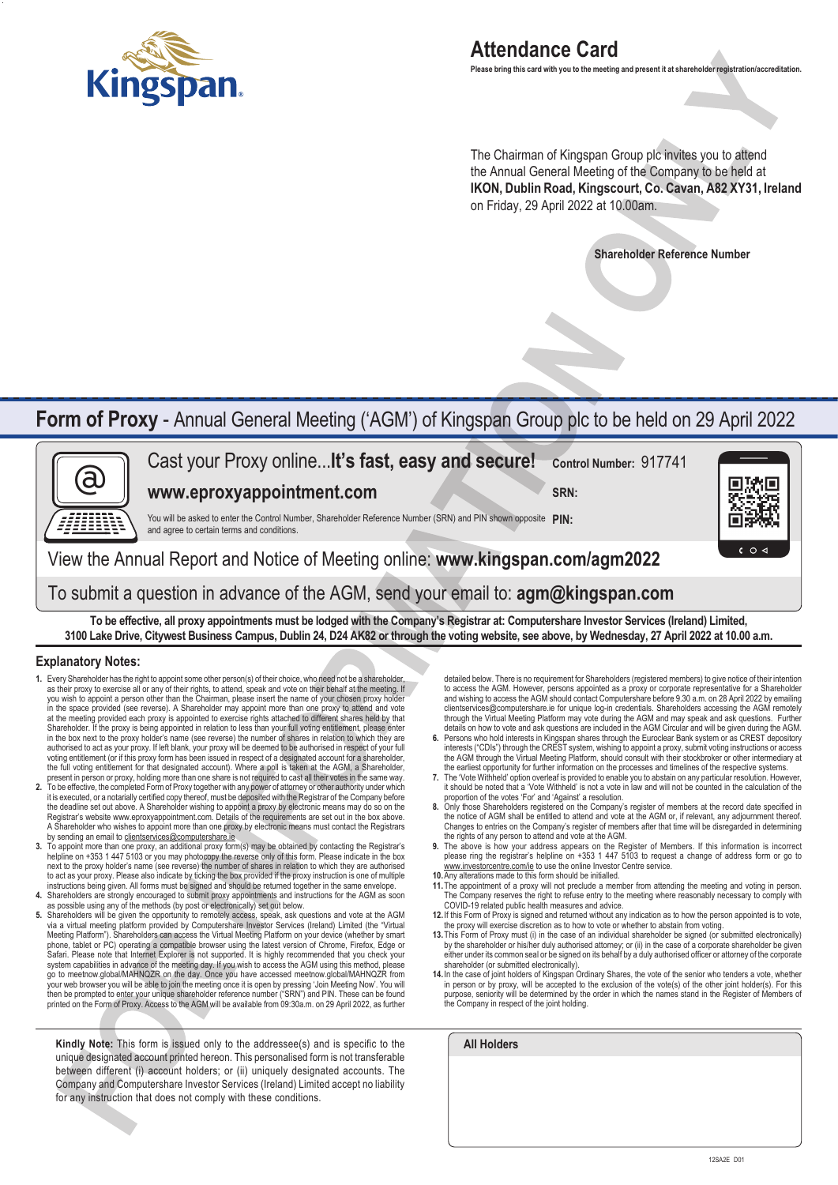

## **Attendance Card**

**Please bring this card with you to the meeting and present it at shareholder registration/accreditation.**

The Chairman of Kingspan Group plc invites you to attend the Annual General Meeting of the Company to be held at **IKON, Dublin Road, Kingscourt, Co. Cavan, A82 XY31, Ireland** on Friday, 29 April 2022 at 10.00am.

**Shareholder Reference Number**

## **Form of Proxy** - Annual General Meeting ('AGM') of Kingspan Group plc to be held on 29 April 2022



**To be effective, all proxy appointments must be lodged with the Company's Registrar at: Computershare Investor Services (Ireland) Limited, 3100 Lake Drive, Citywest Business Campus, Dublin 24, D24 AK82 or through the voting website, see above, by Wednesday, 27 April 2022 at 10.00 a.m.**

#### **Explanatory Notes:**

- **1.** Every Shareholder has the right to appoint some other person(s) of their choice, who need not be a shareholder, as their proxy to exercise all or any of their rights, to attend, speak and vote on their behalf at the meeting. If you wish to appoint a person other than the Chairman, please insert the name of your chosen proxy holder in the space provided (see reverse). A Shareholder may appoint more than one proxy to attend and vote at the meeting provided each proxy is appointed to exercise rights attached to different shares held by that Shareholder. If the proxy is being appointed in relation to less than your full voting entitlement, please enter<br>in the box next to the proxy holder's name (see reverse) the number of shares in relation to which they are authorised to act as your proxy. If left blank, your proxy will be deemed to be authorised in respect of your full<br>voting entitlement (or if this proxy form has been issued in respect of a designated account for a sharehol
- the full voting entitlement for that designated account). Where a poll is taken at the AGM, a Shareholder,<br>present in person or proxy, holding more than one share is not required to cast all their voties in the same way.<br>T the deadline set out above. A Shareholder wishing to appoint a proxy by electronic means may do so on the Registrar's website www.eproxyappointment.com. Details of the requirements are set out in the box above. A Shareholder who wishes to appoint more than one proxy by electronic means must contact the Registrars sending an email to clientservices@computershare.ie
- **3.** To appoint more than one proxy, an additional proxy form(s) may be obtained by contacting the Registrar's helpline on +353 1 447 5103 or you may photocopy the reverse only of this form. Please indicate in the box next to the proxy holder's name (see reverse) the number of shares in relation to which they are authorised to act as your proxy. Please also indicate by ticking the box provided if the proxy instruction is one of multiple instructions being given. All forms must be signed and should be returned together in the same envelope.<br>4. Shareholders are strongly encouraged to submit proxy appointments and instructions for the AGM as soon<br>as possible
- 
- **5.** Shareholders will be given the opportunity to remotely access, speak, ask questions and vote at the AGM via a virtual meeting platform provided by Computershare Investor Services (Ireland) Limited (the "Virtual Meeting Platform"). Shareholders can access the Virtual Meeting Platform on your device (whether by smart phone, ta go to meetnow.global/MAHNQZR. on the day. Once you have accessed meetnow.global/MAHNQZR from<br>your web browser you will be able to join the meeting once it is open by pressing 'Join Meeting Now'. You will<br>then be prompted t printed on the Form of Proxy. Access to the AGM will be available from 09:30a.m. on 29 April 2022, as further

**Kindly Note:** This form is issued only to the addressee(s) and is specific to the unique designated account printed hereon. This personalised form is not transferable between different (i) account holders; or (ii) uniquely designated accounts. The Company and Computershare Investor Services (Ireland) Limited accept no liability for any instruction that does not comply with these conditions.

detailed below. There is no requirement for Shareholders (registered members) to give notice of their intention to access the AGM. However, persons appointed as a proxy or corporate representative for a Shareholder<br>and wishing to access the AGM should contact Computershare before 9.30 a.m. on 28 April 2022 by emailing<br>clientservice through the Virtual Meeting Platform may vote during the AGM and may speak and ask questions. Further details on how to vote and ask questions are included in the AGM Circular and will be given during the AGM.

- **6.** Persons who hold interests in Kingspan shares through the Euroclear Bank system or as CREST depository interests ("CDIs") through the CREST system, wishing to appoint a proxy, submit voting instructions or access<br>the AGM through the Virtual Meeting Platform, should consult with their stockbroker or other intermediary at<br>the
- T. The 'Vote Withheld' option overleaf is provided to enable you to abstain on any particular resolution. However,<br>it should be noted that a 'Vote Withheld' is not a vote in law and will not be counted in the calculation o proportion of the votes 'For' and 'Against' a resolution.
- **8.** Only those Shareholders registered on the Company's register of members at the record date specified in the notice of AGM shall be entitled to attend and vote at the AGM or, if relevant, any adjournment thereof. Changes to entries on the Company's register of members after that time will be disregarded in determining the rights of any person to attend and vote at the AGM.
- **9.** The above is how your address appears on the Register of Members. If this information is incorrect please ring the registrar's helpline on +353 1 447 5103 to request a change of address form or go to www.investorcentre.com/ie to use the online Investor Centre service.
- 
- **10.**Any alterations made to this form should be initialled. **11.**The appointment of a proxy will not preclude a member from attending the meeting and voting in person. The Company reserves the right to refuse entry to the meeting where reasonably necessary to comply with COVID-19 related public health measures and advice.
- **12.** If this Form of Proxy is signed and returned without any indication as to how the person appointed is to vote, the proxy will exercise discretion as to how to vote or whether to abstain from voting.
- **13.**This Form of Proxy must (i) in the case of an individual shareholder be signed (or submitted electronically) by the shareholder or his/her duly authorised attorney; or (ii) in the case of a corporate shareholder be given either under its common seal or be signed on its behalf by a duly authorised officer or attorney of the corporate shareholder (or submitted electronically).
- 14. In the case of joint holders of Kingspan Ordinary Shares, the vote of the senior who tenders a vote, whether<br>in person or by proxy, will be accepted to the exclusion of the vote(s) of the other joint holder(s). For thi purpose, seniority will be determined by the order in which the names stand in the Register of Members of the Company in respect of the joint holding.

| <b>All Holders</b> |  |  |  |
|--------------------|--|--|--|
|                    |  |  |  |
|                    |  |  |  |
|                    |  |  |  |